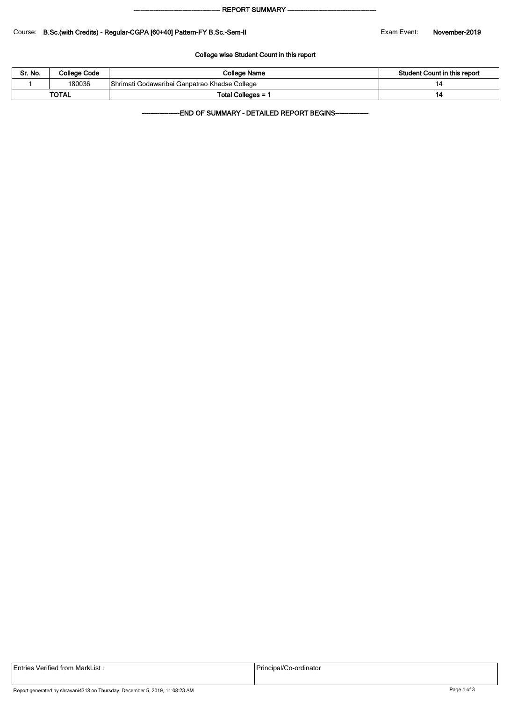#### - REPORT SUMMARY --

### Course: B.Sc.(with Credits) - Regular-CGPA [60+40] Pattern-FY B.Sc.-Sem-II Exam Exam Event: November-2019

### College wise Student Count in this report

| Sr. No.      | <b>College Code</b> | College Name                                  | Student Count in this report |  |  |
|--------------|---------------------|-----------------------------------------------|------------------------------|--|--|
|              | 180036              | Shrimati Godawaribai Ganpatrao Khadse College |                              |  |  |
| <b>TOTAL</b> |                     | Total Colleges = 1                            |                              |  |  |

-END OF SUMMARY - DETAILED REPORT BEGINS-

|  | Entries Verified from MarkList : |  |
|--|----------------------------------|--|
|  |                                  |  |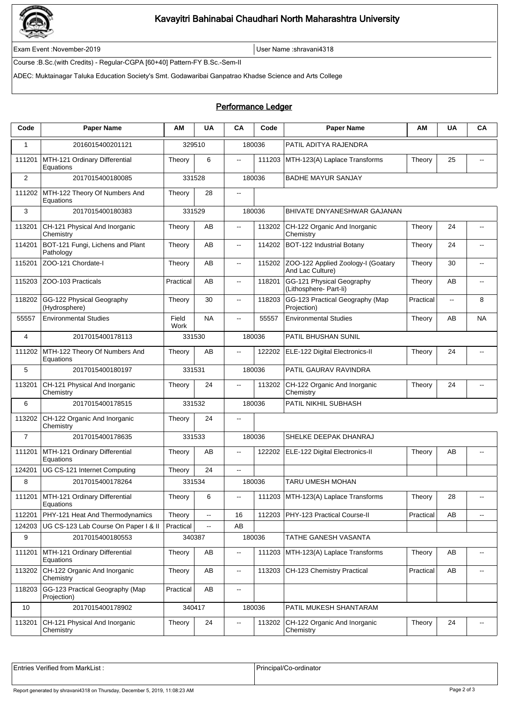

# Kavayitri Bahinabai Chaudhari North Maharashtra University

Exam Event :November-2019 User Name :shravani4318

Course :B.Sc.(with Credits) - Regular-CGPA [60+40] Pattern-FY B.Sc.-Sem-II

ADEC: Muktainagar Taluka Education Society's Smt. Godawaribai Ganpatrao Khadse Science and Arts College

## Performance Ledger

| Code           | <b>Paper Name</b>                                 | ΑM            | <b>UA</b>                | CA             | Code   | <b>Paper Name</b>                                      | ΑM        | <b>UA</b>    | CA                       |
|----------------|---------------------------------------------------|---------------|--------------------------|----------------|--------|--------------------------------------------------------|-----------|--------------|--------------------------|
| $\mathbf{1}$   | 2016015400201121                                  | 329510        |                          |                | 180036 | PATIL ADITYA RAJENDRA                                  |           |              |                          |
| 111201         | MTH-121 Ordinary Differential<br>Equations        | Theory        | 6                        | $\overline{a}$ | 111203 | MTH-123(A) Laplace Transforms                          | Theory    | 25           |                          |
| $\overline{2}$ | 2017015400180085                                  | 331528        |                          | 180036         |        | <b>BADHE MAYUR SANJAY</b>                              |           |              |                          |
| 111202         | MTH-122 Theory Of Numbers And<br>Equations        | Theory        | 28                       | --             |        |                                                        |           |              |                          |
| 3              | 2017015400180383                                  | 331529        |                          | 180036         |        | <b>BHIVATE DNYANESHWAR GAJANAN</b>                     |           |              |                          |
| 113201         | CH-121 Physical And Inorganic<br>Chemistry        | Theory        | AB                       | 44             | 113202 | CH-122 Organic And Inorganic<br>Chemistry              | Theory    | 24           | $\overline{\phantom{a}}$ |
| 114201         | BOT-121 Fungi, Lichens and Plant<br>Pathology     | Theory        | AB                       | н.             | 114202 | BOT-122 Industrial Botany                              | Theory    | 24           | $-$                      |
| 115201         | ZOO-121 Chordate-I                                | Theory        | AB                       | Ξ.             | 115202 | ZOO-122 Applied Zoology-I (Goatary<br>And Lac Culture) | Theory    | 30           | $\overline{a}$           |
| 115203         | ZOO-103 Practicals                                | Practical     | AB                       | 44             | 118201 | GG-121 Physical Geography<br>(Lithosphere- Part-li)    | Theory    | AB           | $\overline{\phantom{a}}$ |
| 118202         | GG-122 Physical Geography<br>(Hydrosphere)        | Theory        | 30                       | н.             | 118203 | GG-123 Practical Geography (Map<br>Projection)         | Practical | $\mathbf{L}$ | 8                        |
| 55557          | <b>Environmental Studies</b>                      | Field<br>Work | <b>NA</b>                | Ξ.             | 55557  | <b>Environmental Studies</b>                           | Theory    | AB           | <b>NA</b>                |
| $\overline{4}$ | 2017015400178113                                  | 331530        |                          |                | 180036 | PATIL BHUSHAN SUNIL                                    |           |              |                          |
| 111202         | MTH-122 Theory Of Numbers And<br>Equations        | Theory        | AB                       |                | 122202 | ELE-122 Digital Electronics-II                         | Theory    | 24           | $\overline{a}$           |
| 5              | 2017015400180197                                  | 331531        |                          | 180036         |        | PATIL GAURAV RAVINDRA                                  |           |              |                          |
| 113201         | CH-121 Physical And Inorganic<br>Chemistry        | Theory        | 24                       | 44             | 113202 | CH-122 Organic And Inorganic<br>Chemistry              | Theory    | 24           |                          |
| 6              | 2017015400178515                                  | 331532        |                          |                | 180036 | PATIL NIKHIL SUBHASH                                   |           |              |                          |
| 113202         | CH-122 Organic And Inorganic<br>Chemistry         | Theory        | 24                       | 44             |        |                                                        |           |              |                          |
| $\overline{7}$ | 2017015400178635                                  | 331533        |                          | 180036         |        | SHELKE DEEPAK DHANRAJ                                  |           |              |                          |
| 111201         | MTH-121 Ordinary Differential<br>Equations        | Theory        | AB                       | μ.             | 122202 | ELE-122 Digital Electronics-II                         | Theory    | AB           |                          |
| 124201         | UG CS-121 Internet Computing                      | Theory        | 24                       | u.             |        |                                                        |           |              |                          |
| 8              | 2017015400178264                                  | 331534        |                          |                | 180036 | TARU UMESH MOHAN                                       |           |              |                          |
|                | 111201 MTH-121 Ordinary Differential<br>Equations | Theory        | $6\overline{6}$          |                |        | 111203 MTH-123(A) Laplace Transforms                   | Theory    | 28           | $\overline{\phantom{a}}$ |
| 112201         | PHY-121 Heat And Thermodynamics                   | Theory        | $\mathbb{Z}^2$           | 16             | 112203 | PHY-123 Practical Course-II                            | Practical | AB           | $\overline{\phantom{a}}$ |
| 124203         | UG CS-123 Lab Course On Paper I & II              | Practical     | $\overline{\phantom{a}}$ | AB             |        |                                                        |           |              |                          |
| 9              | 2017015400180553                                  | 340387        |                          | 180036         |        | TATHE GANESH VASANTA                                   |           |              |                          |
| 111201         | MTH-121 Ordinary Differential<br>Equations        | Theory        | AB                       | 44             | 111203 | MTH-123(A) Laplace Transforms                          | Theory    | AВ           | $\overline{\phantom{a}}$ |
| 113202         | CH-122 Organic And Inorganic<br>Chemistry         | Theory        | AB                       | Ξ.             | 113203 | CH-123 Chemistry Practical                             | Practical | AB           | $\overline{\phantom{a}}$ |
| 118203         | GG-123 Practical Geography (Map<br>Projection)    | Practical     | AB                       | ۰.             |        |                                                        |           |              |                          |
| 10             | 2017015400178902                                  | 340417        |                          | 180036         |        | PATIL MUKESH SHANTARAM                                 |           |              |                          |
| 113201         | CH-121 Physical And Inorganic<br>Chemistry        | Theory        | 24                       |                | 113202 | CH-122 Organic And Inorganic<br>Chemistry              | Theory    | 24           | $\overline{\phantom{a}}$ |

Entries Verified from MarkList : <br>
Principal/Co-ordinator